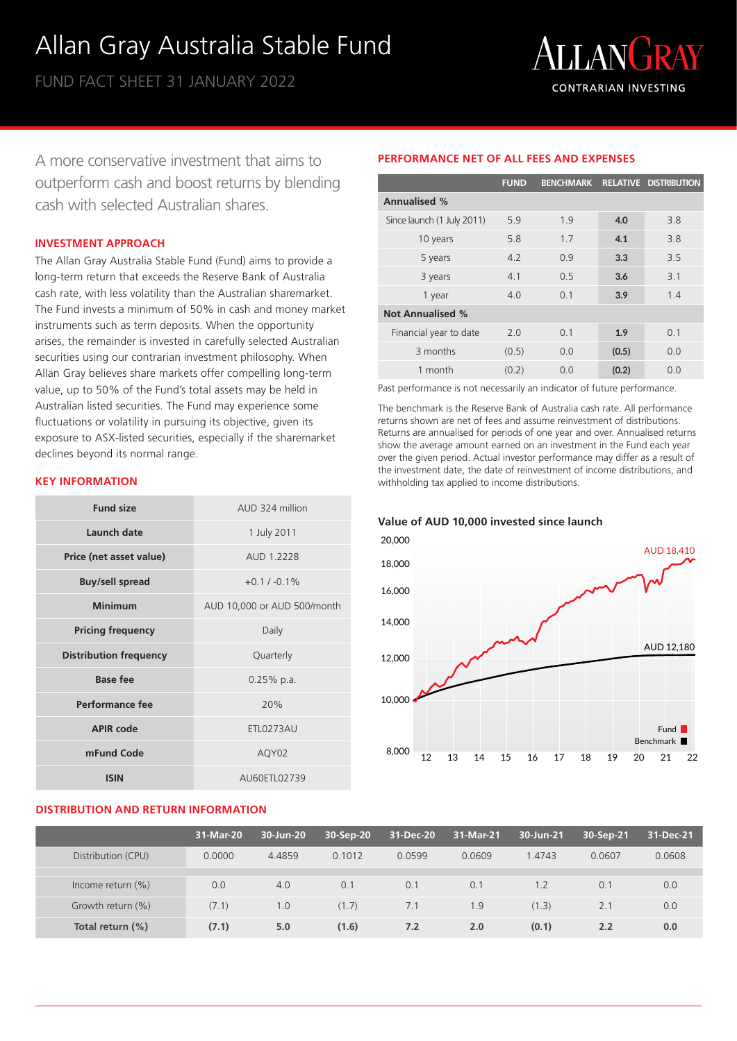# Allan Gray Australia Stable Fund

FUND FACT SHEET 31 JANUARY 2022



A more conservative investment that aims to outperform cash and boost returns by blending cash with selected Australian shares.

### **INVESTMENT APPROACH**

The Allan Gray Australia Stable Fund (Fund) aims to provide a long-term return that exceeds the Reserve Bank of Australia cash rate, with less volatility than the Australian sharemarket. The Fund invests a minimum of 50% in cash and money market instruments such as term deposits. When the opportunity arises, the remainder is invested in carefully selected Australian securities using our contrarian investment philosophy. When Allan Gray believes share markets offer compelling long-term value, up to 50% of the Fund's total assets may be held in Australian listed securities. The Fund may experience some fluctuations or volatility in pursuing its objective, given its exposure to ASX-listed securities, especially if the sharemarket declines beyond its normal range.

# **KEY INFORMATION**

| <b>Fund size</b>              | AUD 324 million             |
|-------------------------------|-----------------------------|
| Launch date                   | 1 July 2011                 |
| Price (net asset value)       | AUD 1.2228                  |
| <b>Buy/sell spread</b>        | $+0.1 / -0.1\%$             |
| <b>Minimum</b>                | AUD 10,000 or AUD 500/month |
| <b>Pricing frequency</b>      | Daily                       |
| <b>Distribution frequency</b> | Quarterly                   |
| <b>Base fee</b>               | $0.25%$ p.a.                |
| Performance fee               | 20%                         |
| <b>APIR code</b>              | ETL0273AU                   |
| mFund Code                    | AQY02                       |
| <b>ISIN</b>                   | AU60ETL02739                |

# **DISTRIBUTION AND RETURN INFORMATION**

|                            | <b>FUND</b> | BENCHMARK RELATIVE DISTRIBUTION |       |     |
|----------------------------|-------------|---------------------------------|-------|-----|
| <b>Annualised %</b>        |             |                                 |       |     |
| Since launch (1 July 2011) | 5.9         | 1.9                             | 4.0   | 3.8 |
| 10 years                   | 5.8         | 1.7                             | 4.1   | 3.8 |
| 5 years                    | 4.2         | 0.9                             | 3.3   | 3.5 |
| 3 years                    | 4.1         | 0.5                             | 3.6   | 3.1 |
| 1 year                     | 4.0         | 0.1                             | 3.9   | 1.4 |
| <b>Not Annualised %</b>    |             |                                 |       |     |
| Financial year to date     | 2.0         | 0.1                             | 1.9   | 0.1 |
| 3 months                   | (0.5)       | 0.0                             | (0.5) | 0.0 |
| 1 month                    | (0.2)       | 0.0                             | (0.2) | 0.0 |

**PERFORMANCE NET OF ALL FEES AND EXPENSES**

Past performance is not necessarily an indicator of future performance.

The benchmark is the Reserve Bank of Australia cash rate. All performance returns shown are net of fees and assume reinvestment of distributions. Returns are annualised for periods of one year and over. Annualised returns show the average amount earned on an investment in the Fund each year over the given period. Actual investor performance may differ as a result of the investment date, the date of reinvestment of income distributions, and withholding tax applied to income distributions.

**Value of AUD 10,000 invested since launch**



|                      | 31-Mar-20 | 30-Jun-20 | 30-Sep-20 | 31-Dec-20 | 31-Mar-21 | 30-Jun-21 | 30-Sep-21 | 31-Dec-21 |
|----------------------|-----------|-----------|-----------|-----------|-----------|-----------|-----------|-----------|
| Distribution (CPU)   | 0.0000    | 4.4859    | 0.1012    | 0.0599    | 0.0609    | 1.4743    | 0.0607    | 0.0608    |
|                      |           |           |           |           |           |           |           |           |
| Income return $(\%)$ | 0.0       | 4.0       | 0.1       | 0.1       | 0.1       | 1.2       | 0.1       | 0.0       |
| Growth return (%)    | (7.1)     | 1.0       | (1.7)     | 7.1       | 1.9       | (1.3)     | 2.1       | 0.0       |
| Total return (%)     | (7.1)     | 5.0       | (1.6)     | 7.2       | 2.0       | (0.1)     | 2.2       | 0.0       |